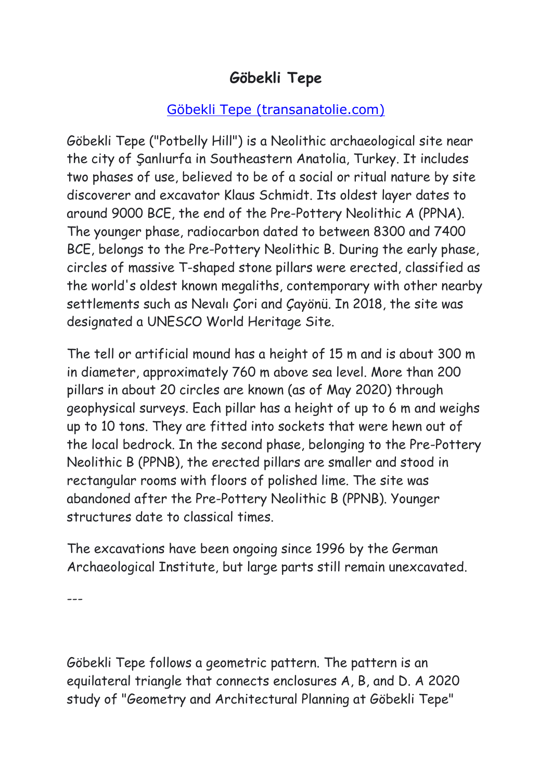## **Göbekli Tepe**

## [Göbekli Tepe \(transanatolie.com\)](https://transanatolie.com/English/Turkey/Anatolia/Gobeklitepe/gobeklitepe.htm)

Göbekli Tepe ("Potbelly Hill") is a Neolithic archaeological site near the city of Şanlıurfa in Southeastern Anatolia, Turkey. It includes two phases of use, believed to be of a social or ritual nature by site discoverer and excavator Klaus Schmidt. Its oldest layer dates to around 9000 BCE, the end of the Pre-Pottery Neolithic A (PPNA). The younger phase, radiocarbon dated to between 8300 and 7400 BCE, belongs to the Pre-Pottery Neolithic B. During the early phase, circles of massive T-shaped stone pillars were erected, classified as the world's oldest known megaliths, contemporary with other nearby settlements such as Nevalı Çori and Çayönü. In 2018, the site was designated a UNESCO World Heritage Site.

The tell or artificial mound has a height of 15 m and is about 300 m in diameter, approximately 760 m above sea level. More than 200 pillars in about 20 circles are known (as of May 2020) through geophysical surveys. Each pillar has a height of up to 6 m and weighs up to 10 tons. They are fitted into sockets that were hewn out of the local bedrock. In the second phase, belonging to the Pre-Pottery Neolithic B (PPNB), the erected pillars are smaller and stood in rectangular rooms with floors of polished lime. The site was abandoned after the Pre-Pottery Neolithic B (PPNB). Younger structures date to classical times.

The excavations have been ongoing since 1996 by the German Archaeological Institute, but large parts still remain unexcavated.

---

Göbekli Tepe follows a geometric pattern. The pattern is an equilateral triangle that connects enclosures A, B, and D. A 2020 study of "Geometry and Architectural Planning at Göbekli Tepe"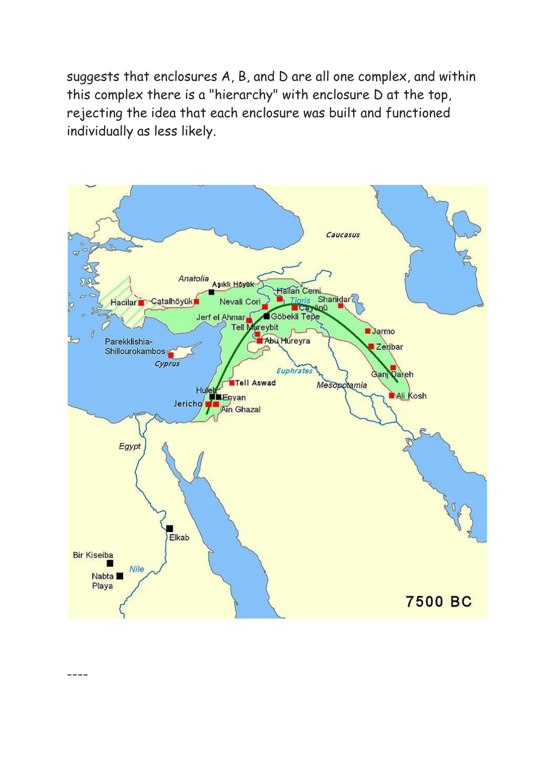suggests that enclosures A, B, and D are all one complex, and within this complex there is a "hierarchy" with enclosure D at the top, rejecting the idea that each enclosure was built and functioned individually as less likely.



----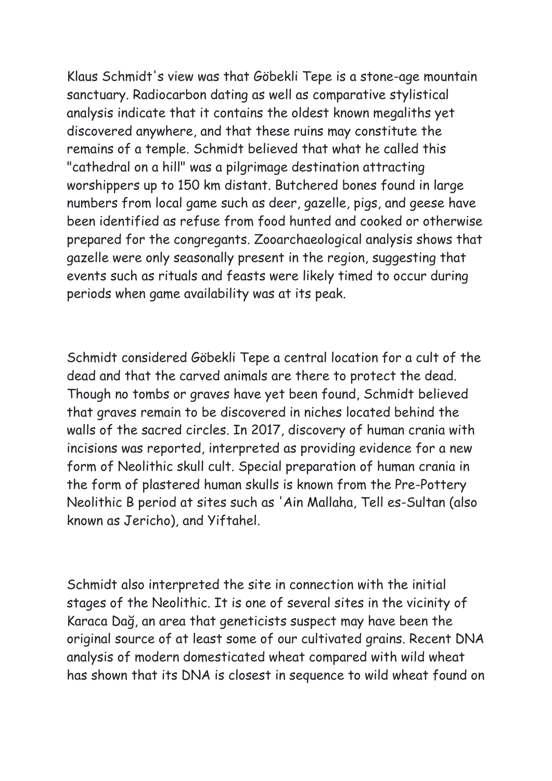Klaus Schmidt's view was that Göbekli Tepe is a stone-age mountain sanctuary. Radiocarbon dating as well as comparative stylistical analysis indicate that it contains the oldest known megaliths yet discovered anywhere, and that these ruins may constitute the remains of a temple. Schmidt believed that what he called this "cathedral on a hill" was a pilgrimage destination attracting worshippers up to 150 km distant. Butchered bones found in large numbers from local game such as deer, gazelle, pigs, and geese have been identified as refuse from food hunted and cooked or otherwise prepared for the congregants. Zooarchaeological analysis shows that gazelle were only seasonally present in the region, suggesting that events such as rituals and feasts were likely timed to occur during periods when game availability was at its peak.

Schmidt considered Göbekli Tepe a central location for a cult of the dead and that the carved animals are there to protect the dead. Though no tombs or graves have yet been found, Schmidt believed that graves remain to be discovered in niches located behind the walls of the sacred circles. In 2017, discovery of human crania with incisions was reported, interpreted as providing evidence for a new form of Neolithic skull cult. Special preparation of human crania in the form of plastered human skulls is known from the Pre-Pottery Neolithic B period at sites such as 'Ain Mallaha, Tell es-Sultan (also known as Jericho), and Yiftahel.

Schmidt also interpreted the site in connection with the initial stages of the Neolithic. It is one of several sites in the vicinity of Karaca Dağ, an area that geneticists suspect may have been the original source of at least some of our cultivated grains. Recent DNA analysis of modern domesticated wheat compared with wild wheat has shown that its DNA is closest in sequence to wild wheat found on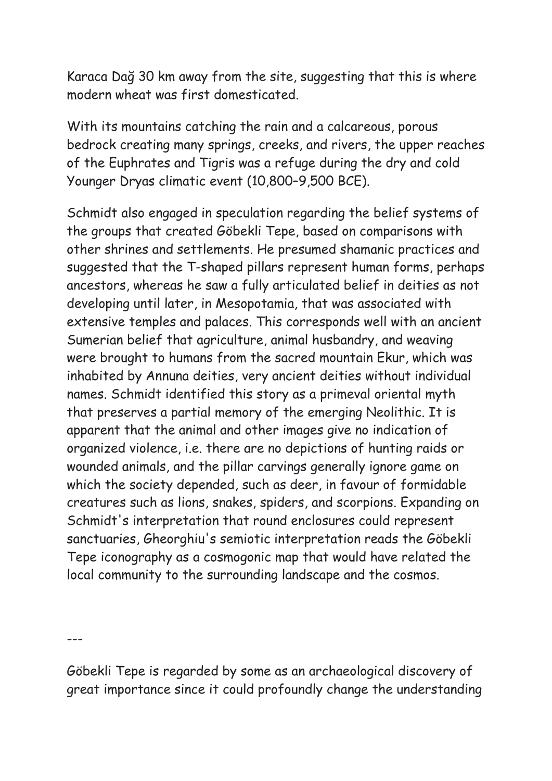Karaca Dağ 30 km away from the site, suggesting that this is where modern wheat was first domesticated.

With its mountains catching the rain and a calcareous, porous bedrock creating many springs, creeks, and rivers, the upper reaches of the Euphrates and Tigris was a refuge during the dry and cold Younger Dryas climatic event (10,800–9,500 BCE).

Schmidt also engaged in speculation regarding the belief systems of the groups that created Göbekli Tepe, based on comparisons with other shrines and settlements. He presumed shamanic practices and suggested that the T-shaped pillars represent human forms, perhaps ancestors, whereas he saw a fully articulated belief in deities as not developing until later, in Mesopotamia, that was associated with extensive temples and palaces. This corresponds well with an ancient Sumerian belief that agriculture, animal husbandry, and weaving were brought to humans from the sacred mountain Ekur, which was inhabited by Annuna deities, very ancient deities without individual names. Schmidt identified this story as a primeval oriental myth that preserves a partial memory of the emerging Neolithic. It is apparent that the animal and other images give no indication of organized violence, i.e. there are no depictions of hunting raids or wounded animals, and the pillar carvings generally ignore game on which the society depended, such as deer, in favour of formidable creatures such as lions, snakes, spiders, and scorpions. Expanding on Schmidt's interpretation that round enclosures could represent sanctuaries, Gheorghiu's semiotic interpretation reads the Göbekli Tepe iconography as a cosmogonic map that would have related the local community to the surrounding landscape and the cosmos.

 $---$ 

Göbekli Tepe is regarded by some as an archaeological discovery of great importance since it could profoundly change the understanding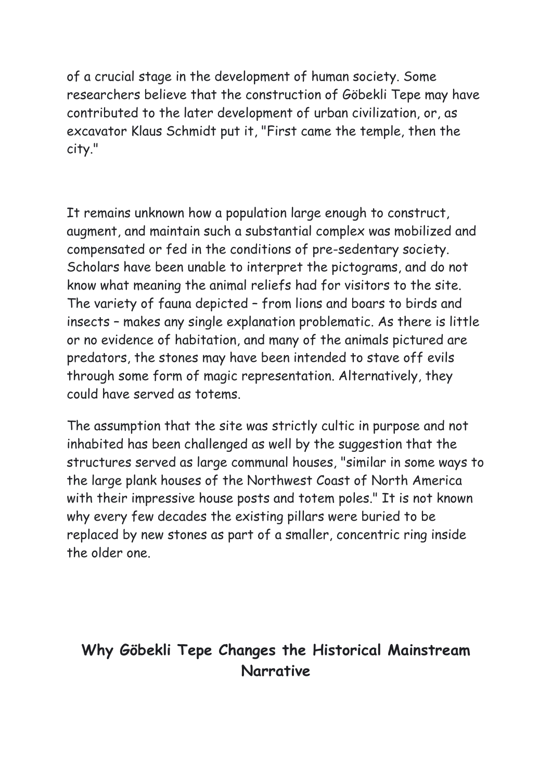of a crucial stage in the development of human society. Some researchers believe that the construction of Göbekli Tepe may have contributed to the later development of urban civilization, or, as excavator Klaus Schmidt put it, "First came the temple, then the city."

It remains unknown how a population large enough to construct, augment, and maintain such a substantial complex was mobilized and compensated or fed in the conditions of pre-sedentary society. Scholars have been unable to interpret the pictograms, and do not know what meaning the animal reliefs had for visitors to the site. The variety of fauna depicted – from lions and boars to birds and insects – makes any single explanation problematic. As there is little or no evidence of habitation, and many of the animals pictured are predators, the stones may have been intended to stave off evils through some form of magic representation. Alternatively, they could have served as totems.

The assumption that the site was strictly cultic in purpose and not inhabited has been challenged as well by the suggestion that the structures served as large communal houses, "similar in some ways to the large plank houses of the Northwest Coast of North America with their impressive house posts and totem poles." It is not known why every few decades the existing pillars were buried to be replaced by new stones as part of a smaller, concentric ring inside the older one.

## **Why Göbekli Tepe Changes the Historical Mainstream Narrative**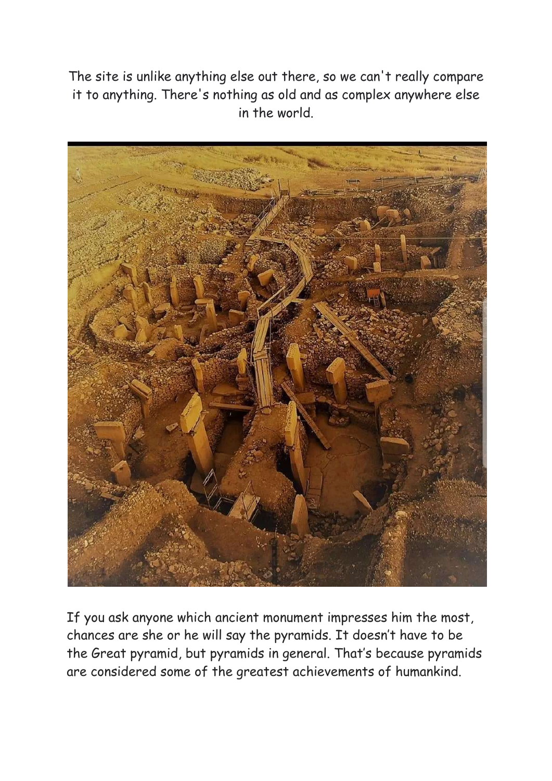The site is unlike anything else out there, so we can't really compare it to anything. There's nothing as old and as complex anywhere else in the world.



If you ask anyone which ancient monument impresses him the most, chances are she or he will say the pyramids. It doesn't have to be the Great pyramid, but pyramids in general. That's because pyramids are considered some of the greatest achievements of humankind.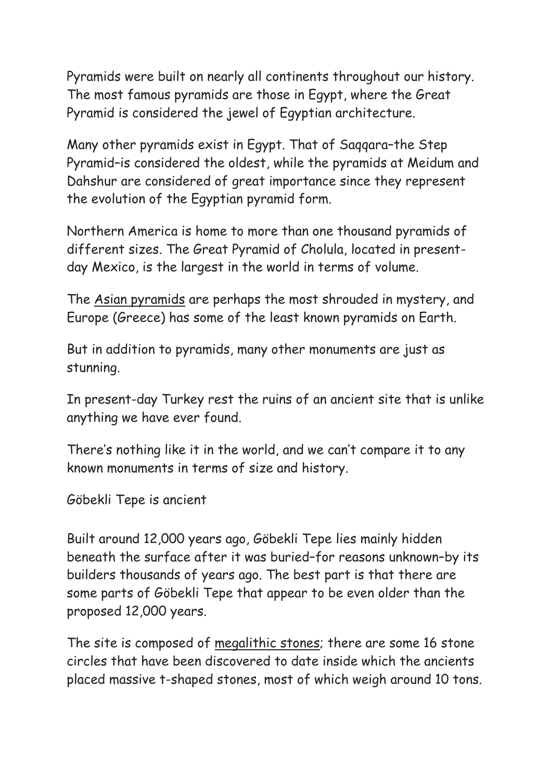Pyramids were built on nearly all continents throughout our history. The most famous pyramids are those in Egypt, where the Great Pyramid is considered the jewel of Egyptian architecture.

Many other pyramids exist in Egypt. That of [Saqqara](https://curiosmos.com/dev/?s=Saqqara)–the Step Pyramid–is considered the oldest, while the pyramids at Meidum and Dahshur are considered of great importance since they represent the evolution of the Egyptian pyramid form.

Northern America is home to more than one thousand pyramids of different sizes. The Great Pyramid of Cholula, located in presentday Mexico, is the largest in the world in terms of volume.

The Asian pyramids are perhaps the most shrouded in mystery, and Europe (Greece) has some of the least known pyramids on Earth.

But in addition to pyramids, many other monuments are just as stunning.

In present-day Turkey rest the ruins of an ancient site that is unlike anything we have ever found.

There's nothing like it in the world, and we can't compare it to any known monuments in terms of size and history.

Göbekli Tepe is ancient

Built around 12,000 years ago, Göbekli Tepe lies mainly hidden beneath the surface after it was buried–for reasons unknown–by its builders thousands of years ago. The best part is that there are some parts of Göbekli Tepe that appear to be even older than the proposed 12,000 years.

The site is composed of megalithic stones; there are some 16 stone circles that have been discovered to date inside which the ancients placed massive t-shaped stones, most of which weigh around 10 tons.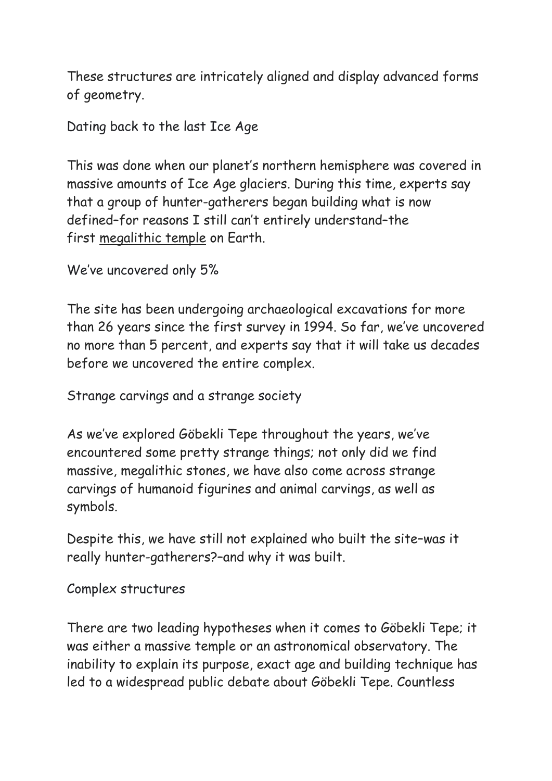These structures are intricately aligned and display advanced forms of geometry.

Dating back to the last Ice Age

This was done when our planet's northern hemisphere was covered in massive amounts of Ice Age glaciers. During this time, experts say that a group of hunter-gatherers began building what is now defined–for reasons I still can't entirely understand–the first megalithic temple on Earth.

We've uncovered only 5%

The site has been undergoing archaeological excavations for more than 26 years since the first survey in 1994. So far, we've uncovered no more than 5 percent, and experts say that it will take us decades before we uncovered the entire complex.

Strange carvings and a strange society

As we've explored Göbekli Tepe throughout the years, we've encountered some pretty strange things; not only did we find massive, megalithic stones, we have also come across strange carvings of humanoid figurines and animal carvings, as well as symbols.

Despite this, we have still not explained who built the site–was it really hunter-gatherers?–and why it was built.

Complex structures

There are two leading hypotheses when it comes to Göbekli Tepe; it was either a massive temple or an astronomical observatory. The inability to explain its purpose, exact age and building technique has led to a widespread public debate about Göbekli Tepe. Countless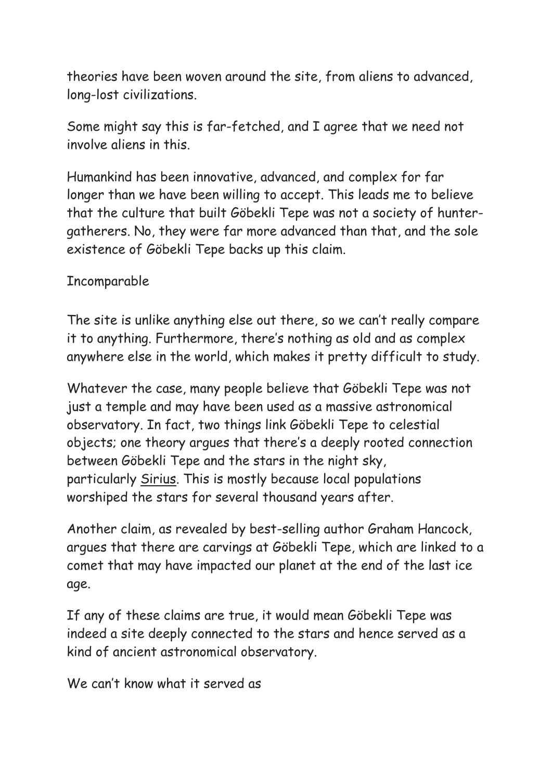theories have been woven around the site, from [aliens](https://curiosmos.com/dev/tag/aliens) to advanced, long-lost civilizations.

Some might say this is far-fetched, and I agree that we need not involve aliens in this.

Humankind has been innovative, advanced, and complex for far longer than we have been willing to accept. This leads me to believe that the culture that built Göbekli Tepe was not a society of huntergatherers. No, they were far more advanced than that, and the sole existence of Göbekli Tepe backs up this claim.

## Incomparable

The site is unlike anything else out there, so we can't really compare it to anything. Furthermore, there's nothing as old and as complex anywhere else in the world, which makes it pretty difficult to study.

Whatever the case, many people believe that Göbekli Tepe was not just a temple and may have been used as a massive astronomical observatory. In fact, two things link Göbekli Tepe to celestial objects; one theory argues that there's a deeply rooted connection between Göbekli Tepe and the stars in the night sky, particularly Sirius. This is mostly because local populations worshiped the stars for several thousand years after.

Another claim, as revealed by best-selling author Graham Hancock, argues that there are carvings at Göbekli Tepe, which are linked to a comet that may have impacted our planet at the end of the last ice age.

If any of these claims are true, it would mean Göbekli Tepe was indeed a site deeply connected to the stars and hence served as a kind of ancient astronomical observatory.

We can't know what it served as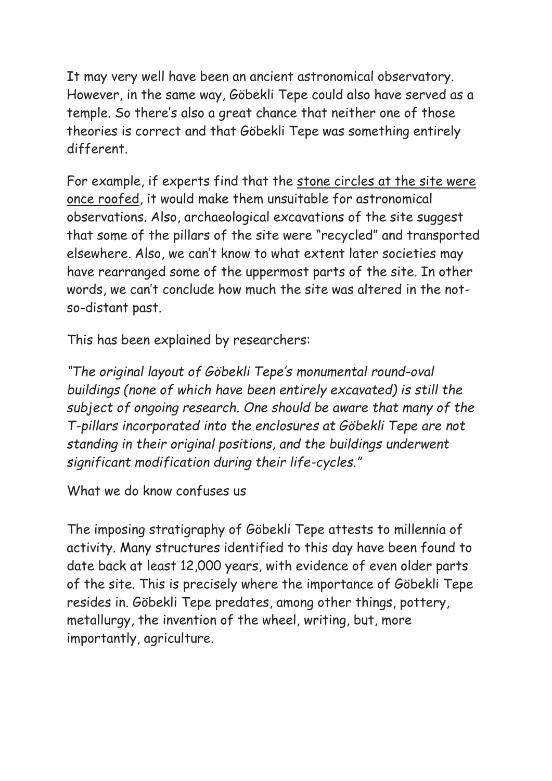It may very well have been an ancient astronomical observatory. However, in the same way, Göbekli Tepe could also have served as a temple. So there's also a great chance that neither one of those theories is correct and that Göbekli Tepe was something entirely different.

For example, if experts find that the stone circles at the site were once roofed, it would make them unsuitable for astronomical observations. Also, archaeological excavations of the site suggest that some of the pillars of the site were "recycled" and transported elsewhere. Also, we can't know to what extent later societies may have rearranged some of the uppermost parts of the site. In other words, we can't conclude how much the site was altered in the notso-distant past.

This has been explained by researchers:

*"The original layout of Göbekli Tepe's monumental round-oval buildings (none of which have been entirely excavated) is still the subject of ongoing research. One should be aware that many of the T-pillars incorporated into the enclosures at Göbekli Tepe are not standing in their original positions, and the buildings underwent significant modification during their life-cycles."*

What we do know confuses us

The imposing stratigraphy of Göbekli Tepe attests to millennia of activity. Many structures identified to this day have been found to date back at least 12,000 years, with evidence of even older parts of the site. This is precisely where the importance of Göbekli Tepe resides in. Göbekli Tepe predates, among other things, pottery, metallurgy, the invention of the wheel, writing, but, more importantly, agriculture.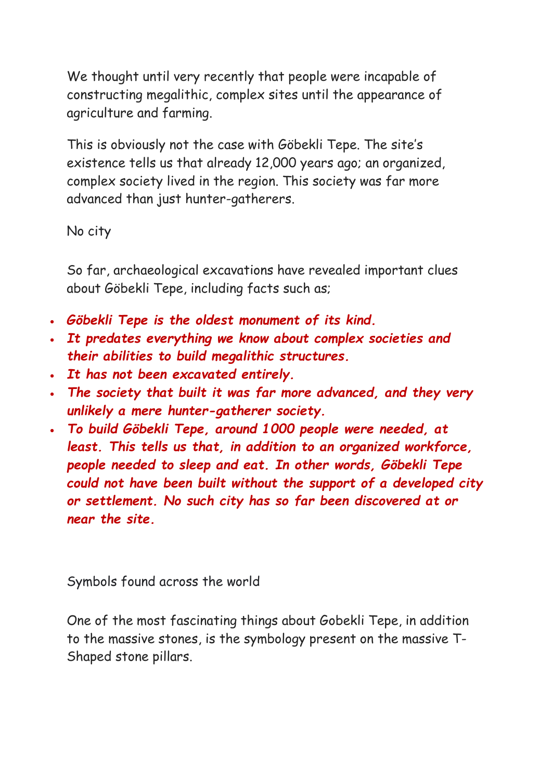We thought until very recently that people were incapable of constructing megalithic, complex sites until the appearance of agriculture and farming.

This is obviously not the case with Göbekli Tepe. The site's existence tells us that already 12,000 years ago; an organized, complex society lived in the region. This society was far more advanced than just hunter-gatherers.

No city

So far, archaeological excavations have revealed important clues about Göbekli Tepe, including facts such as;

- *Göbekli Tepe is the oldest monument of its kind.*
- *It predates everything we know about complex societies and their abilities to build megalithic structures.*
- *It has not been excavated entirely.*
- *The society that built it was far more advanced, and they very unlikely a mere hunter-gatherer society.*
- *To build Göbekli Tepe, around 1000 people were needed, at least. This tells us that, in addition to an organized workforce, people needed to sleep and eat. In other words, Göbekli Tepe could not have been built without the support of a developed city or settlement. No such city has so far been discovered at or near the site.*

Symbols found across the world

One of the most fascinating things about Gobekli Tepe, in addition to the massive stones, is the symbology present on the massive T-Shaped stone pillars.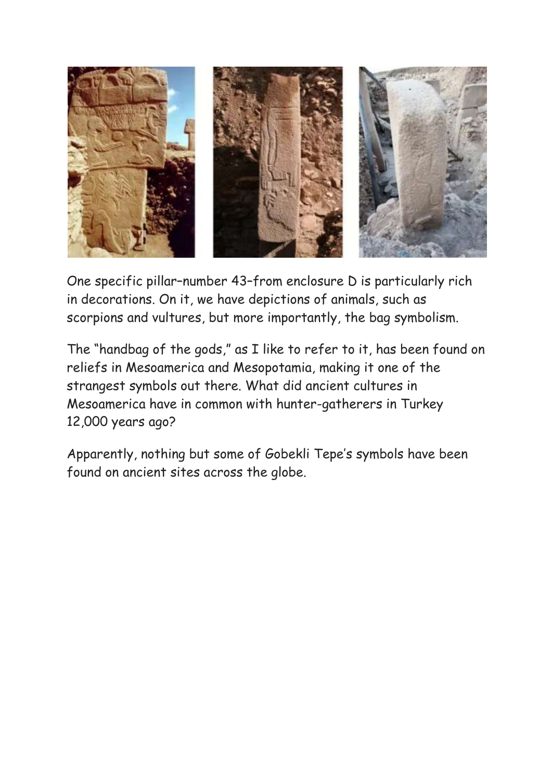

One specific pillar–number 43–from enclosure D is particularly rich in decorations. On it, we have depictions of animals, such as scorpions and vultures, but more importantly, the bag symbolism.

The "handbag of the gods," as I like to refer to it, has been found on reliefs in Mesoamerica and Mesopotamia, making it one of the strangest symbols out there. What did ancient cultures in Mesoamerica have in common with hunter-gatherers in Turkey 12,000 years ago?

Apparently, nothing but some of Gobekli Tepe's symbols have been found on ancient sites across the globe.